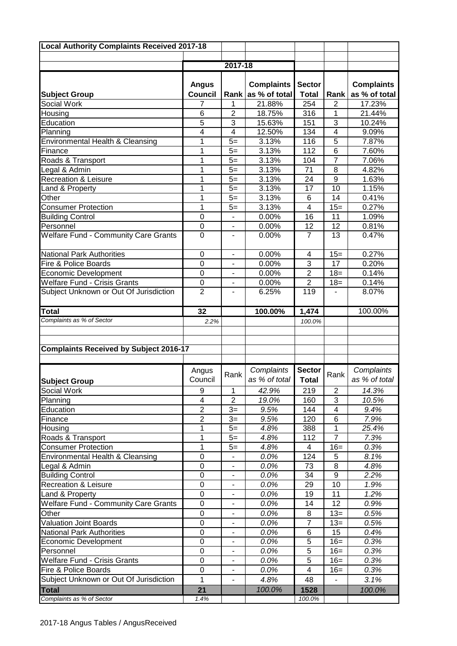| <b>Local Authority Complaints Received 2017-18</b> |                     |                              |                   |                |                  |                   |
|----------------------------------------------------|---------------------|------------------------------|-------------------|----------------|------------------|-------------------|
|                                                    |                     |                              |                   |                |                  |                   |
|                                                    |                     | 2017-18                      |                   |                |                  |                   |
|                                                    |                     |                              |                   |                |                  |                   |
|                                                    | <b>Angus</b>        |                              | <b>Complaints</b> | <b>Sector</b>  |                  | <b>Complaints</b> |
| <b>Subject Group</b>                               | <b>Council</b>      | <b>Rank</b>                  | as % of total     | <b>Total</b>   | Rank             | as % of total     |
| Social Work                                        | 7                   | 1                            | 21.88%            | 254            | 2                | 17.23%            |
| Housing                                            | 6<br>$\overline{5}$ | $\overline{2}$               | 18.75%            | 316            | 1                | 21.44%            |
| Education                                          | 4                   | 3<br>$\overline{\mathbf{4}}$ | 15.63%<br>12.50%  | 151<br>134     | 3<br>4           | 10.24%<br>9.09%   |
| Planning<br>Environmental Health & Cleansing       | 1                   | $5=$                         | 3.13%             | 116            | 5                | 7.87%             |
| Finance                                            | 1                   | $5=$                         | 3.13%             | 112            | 6                | 7.60%             |
| Roads & Transport                                  | 1                   | $5=$                         | 3.13%             | 104            | $\overline{7}$   | 7.06%             |
| Legal & Admin                                      | 1                   | $5=$                         | 3.13%             | 71             | 8                | 4.82%             |
| Recreation & Leisure                               | 1                   | $5=$                         | 3.13%             | 24             | $\boldsymbol{9}$ | 1.63%             |
| Land & Property                                    | 1                   | $5=$                         | 3.13%             | 17             | 10               | 1.15%             |
| Other                                              | 1                   | $5=$                         | 3.13%             | 6              | 14               | 0.41%             |
| <b>Consumer Protection</b>                         | 1                   | $5=$                         | 3.13%             | 4              | $15=$            | 0.27%             |
| <b>Building Control</b>                            | $\mathbf 0$         |                              | 0.00%             | 16             | 11               | 1.09%             |
| Personnel                                          | $\mathbf 0$         | $\blacksquare$               | 0.00%             | 12             | 12               | 0.81%             |
| <b>Welfare Fund - Community Care Grants</b>        | $\mathbf 0$         |                              | 0.00%             | $\overline{7}$ | 13               | 0.47%             |
|                                                    |                     |                              |                   |                |                  |                   |
| <b>National Park Authorities</b>                   | $\boldsymbol{0}$    | $\overline{\phantom{a}}$     | 0.00%             | 4              | $15 =$           | 0.27%             |
| Fire & Police Boards                               | $\mathbf 0$         |                              | 0.00%             | 3              | 17               | 0.20%             |
| <b>Economic Development</b>                        | $\mathbf 0$         |                              | 0.00%             | $\overline{2}$ | $18 =$           | 0.14%             |
| <b>Welfare Fund - Crisis Grants</b>                | $\boldsymbol{0}$    |                              | 0.00%             | $\overline{2}$ | $18 =$           | 0.14%             |
| Subject Unknown or Out Of Jurisdiction             | $\overline{2}$      | $\blacksquare$               | 6.25%             | 119            |                  | 8.07%             |
| <b>Total</b>                                       | 32                  |                              | 100.00%           | 1,474          |                  | 100.00%           |
| Complaints as % of Sector                          | 2.2%                |                              |                   | 100.0%         |                  |                   |
|                                                    |                     |                              |                   |                |                  |                   |
|                                                    |                     |                              |                   |                |                  |                   |
| <b>Complaints Received by Subject 2016-17</b>      |                     |                              |                   |                |                  |                   |
|                                                    |                     |                              |                   |                |                  |                   |
|                                                    | Angus               | Rank                         | Complaints        | <b>Sector</b>  | Rank             | Complaints        |
| <b>Subject Group</b>                               | Council             |                              | as % of total     | <b>Total</b>   |                  | as % of total     |
| Social Work                                        | 9                   | 1                            | 42.9%             | 219            | $\overline{c}$   | 14.3%             |
| Planning                                           | $\overline{4}$      | $\overline{2}$               | 19.0%             | 160            | 3                | 10.5%             |
| Education                                          | $\overline{2}$      | $3=$                         | 9.5%              | 144            | 4                | 9.4%              |
| Finance                                            | $\overline{2}$      | $3=$                         | 9.5%              | 120            | 6                | 7.9%              |
| Housing                                            | 1                   | $5=$                         | 4.8%              | 388            | $\mathbf{1}$     | 25.4%             |
| Roads & Transport                                  | 1                   | $5=$                         | 4.8%              | 112            | $\overline{7}$   | 7.3%              |
| <b>Consumer Protection</b>                         | 1                   | $5=$                         | 4.8%              | 4              | $16=$            | 0.3%              |
| Environmental Health & Cleansing                   | $\boldsymbol{0}$    |                              | 0.0%              | 124            | 5                | 8.1%              |
| Legal & Admin                                      | $\mathbf 0$         |                              | 0.0%              | 73             | 8                | 4.8%              |
| <b>Building Control</b>                            | $\boldsymbol{0}$    | $\overline{\phantom{a}}$     | 0.0%              | 34             | 9                | 2.2%              |
| <b>Recreation &amp; Leisure</b>                    | $\boldsymbol{0}$    |                              | 0.0%              | 29             | 10               | 1.9%              |
| Land & Property                                    | $\boldsymbol{0}$    |                              | 0.0%              | 19             | 11               | 1.2%              |
| <b>Welfare Fund - Community Care Grants</b>        | $\pmb{0}$           | $\overline{\phantom{a}}$     | 0.0%              | 14             | 12               | 0.9%              |
| Other                                              | 0                   | $\blacksquare$               | 0.0%              | 8              | $13 =$           | 0.5%              |
| <b>Valuation Joint Boards</b>                      | $\pmb{0}$           | $\overline{\phantom{a}}$     | 0.0%              | 7              | $13=$            | 0.5%              |
| <b>National Park Authorities</b>                   | $\pmb{0}$           | $\overline{\phantom{a}}$     | 0.0%              | 6              | 15               | 0.4%              |
| <b>Economic Development</b>                        | $\boldsymbol{0}$    | $\overline{\phantom{a}}$     | 0.0%              | 5              | $16=$            | 0.3%              |
| Personnel                                          | $\pmb{0}$           | $\overline{\phantom{a}}$     | 0.0%              | 5              | $16=$            | 0.3%              |
| <b>Welfare Fund - Crisis Grants</b>                | $\pmb{0}$           | $\overline{\phantom{a}}$     | 0.0%              | 5              | $16=$            | 0.3%              |
| Fire & Police Boards                               | $\pmb{0}$           | $\blacksquare$               | 0.0%              | 4              | $16=$            | 0.3%              |
| Subject Unknown or Out Of Jurisdiction             | 1                   |                              | 4.8%              | 48             |                  | 3.1%              |
| <b>Total</b><br>Complaints as % of Sector          | 21<br>1.4%          |                              | 100.0%            | 1528<br>100.0% |                  | 100.0%            |
|                                                    |                     |                              |                   |                |                  |                   |